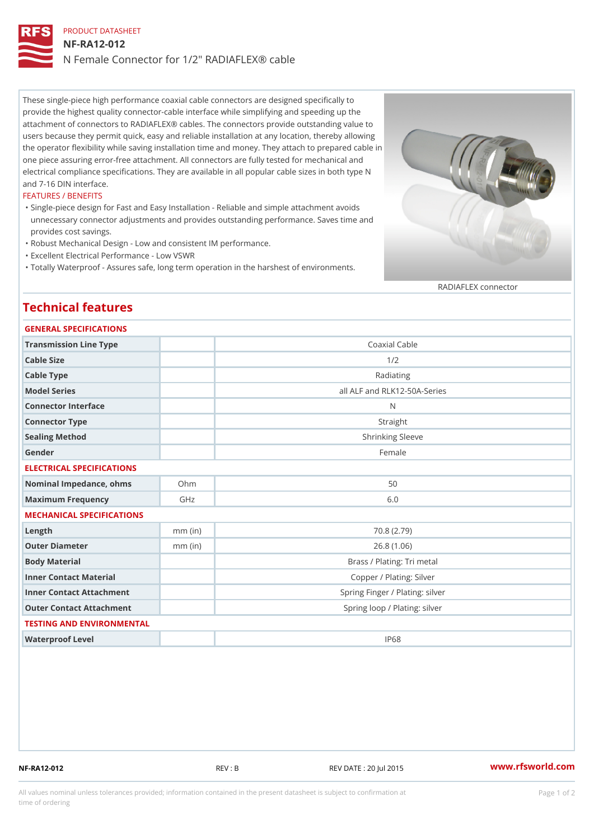## PRODUCT DATASHEET NF-RA12-012 N Female Connector for 1/2" RADIAFLEX® cable

These single-piece high performance coaxial cable connectors are designed specifically to provide the highest quality connector-cable interface while simplifying and speeding up the attachment of connectors to RADIAFLEX® cables. The connectors provide outstanding value to users because they permit quick, easy and reliable installation at any location, thereby allowing the operator flexibility while saving installation time and money. They attach to prepared cable in one piece assuring error-free attachment. All connectors are fully tested for mechanical and electrical compliance specifications. They are available in all popular cable sizes in both type N and 7-16 DIN interface.

## FEATURES / BENEFITS

Single-piece design for Fast and Easy Installation - Reliable and simple attachment avoids " unnecessary connector adjustments and provides outstanding performance. Saves time and provides cost savings.

"Robust Mechanical Design - Low and consistent IM performance.

"Excellent Electrical Performance - Low VSWR

"Totally Waterproof - Assures safe, long term operation in the harshest of environments.

RADIAFLEX connector

## Technical features

| <b>GENERAL SPECIFICATIONS</b> |           |                                 |
|-------------------------------|-----------|---------------------------------|
| Transmission Line Type        |           | Coaxial Cable                   |
| Cable Size                    |           | 1/2                             |
| Cable Type                    |           | Radiating                       |
| Model Series                  |           | all ALF and RLK12-50A-Series    |
| Connector Interface           |           | N                               |
| Connector Type                |           | Straight                        |
| Sealing Method                |           | Shrinking Sleeve                |
| Gender                        |           | Female                          |
| ELECTRICAL SPECIFICATIONS     |           |                                 |
| Nominal Impedance, ohins Ohm  |           | 50                              |
| Maximum Frequency             | GHz       | 6.0                             |
| MECHANICAL SPECIFICATIONS     |           |                                 |
| $L$ ength                     | $mm$ (in) | 70.8(2.79)                      |
| Outer Diameter                | $mm$ (in) | 26.8(1.06)                      |
| Body Material                 |           | Brass / Plating: Tri metal      |
| Inner Contact Material        |           | Copper / Plating: Silver        |
| Inner Contact Attachment      |           | Spring Finger / Plating: silver |
| Outer Contact Attachment      |           | Spring loop / Plating: silver   |
| TESTING AND ENVIRONMENTAL     |           |                                 |
| Waterproof Level              |           | IP68                            |

NF-RA12-012 REV : B REV DATE : 20 Jul 2015 [www.](https://www.rfsworld.com)rfsworld.com

All values nominal unless tolerances provided; information contained in the present datasheet is subject to Pcapgeign manation time of ordering